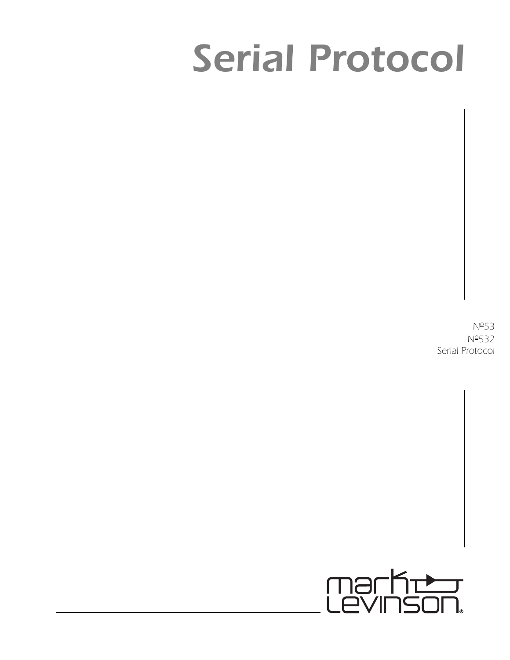# *Serial Protocol*

*No53 No532 Serial Protocol*

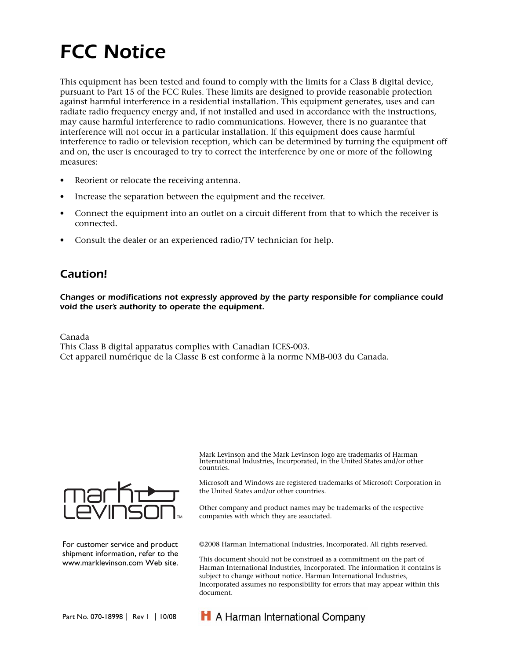# *FCC Notice*

This equipment has been tested and found to comply with the limits for a Class B digital device, pursuant to Part 15 of the FCC Rules. These limits are designed to provide reasonable protection against harmful interference in a residential installation. This equipment generates, uses and can radiate radio frequency energy and, if not installed and used in accordance with the instructions, may cause harmful interference to radio communications. However, there is no guarantee that interference will not occur in a particular installation. If this equipment does cause harmful interference to radio or television reception, which can be determined by turning the equipment off and on, the user is encouraged to try to correct the interference by one or more of the following measures:

- Reorient or relocate the receiving antenna.
- Increase the separation between the equipment and the receiver.
- Connect the equipment into an outlet on a circuit different from that to which the receiver is connected.
- Consult the dealer or an experienced radio/TV technician for help.

# *Caution!*

*Changes or modifications not expressly approved by the party responsible for compliance could void the user's authority to operate the equipment.*

Canada

This Class B digital apparatus complies with Canadian ICES-003.

Cet appareil numérique de la Classe B est conforme à la norme NMB-003 du Canada.



For customer service and product shipment information, refer to the www.marklevinson.com Web site. Mark Levinson and the Mark Levinson logo are trademarks of Harman International Industries, Incorporated, in the United States and/or other countries.

Microsoft and Windows are registered trademarks of Microsoft Corporation in the United States and/or other countries.

Other company and product names may be trademarks of the respective companies with which they are associated.

©2008 Harman International Industries, Incorporated. All rights reserved.

This document should not be construed as a commitment on the part of Harman International Industries, Incorporated. The information it contains is subject to change without notice. Harman International Industries, Incorporated assumes no responsibility for errors that may appear within this document.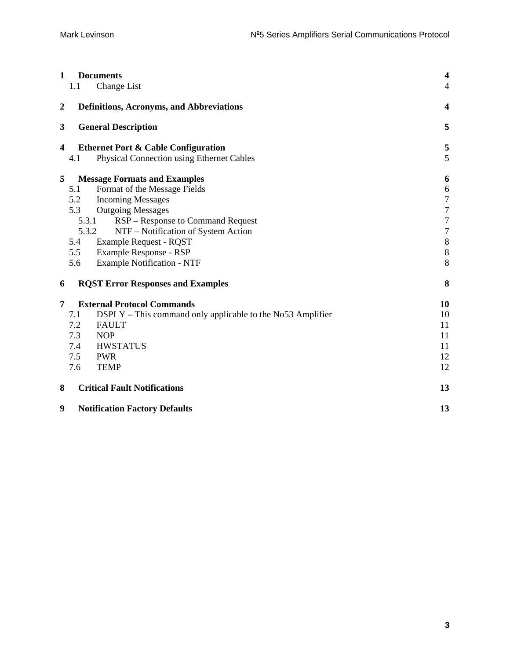| 1<br>1.1         | <b>Documents</b><br>Change List                            | $\overline{\mathbf{4}}$<br>4 |
|------------------|------------------------------------------------------------|------------------------------|
| $\boldsymbol{2}$ | <b>Definitions, Acronyms, and Abbreviations</b>            | $\overline{\mathbf{4}}$      |
| 3                | <b>General Description</b>                                 | 5                            |
| 4                | <b>Ethernet Port &amp; Cable Configuration</b>             | 5                            |
| 4.1              | Physical Connection using Ethernet Cables                  | 5                            |
| 5                | <b>Message Formats and Examples</b>                        | 6                            |
| 5.1              | Format of the Message Fields                               | $\boldsymbol{6}$             |
| 5.2              | <b>Incoming Messages</b>                                   | $\boldsymbol{7}$             |
| 5.3              | <b>Outgoing Messages</b>                                   | $\boldsymbol{7}$             |
|                  | RSP – Response to Command Request<br>5.3.1                 | $\boldsymbol{7}$             |
|                  | 5.3.2<br>NTF - Notification of System Action               | $\overline{7}$               |
| 5.4              | <b>Example Request - RQST</b>                              | $\,8\,$                      |
| 5.5              | Example Response - RSP                                     | $\,8\,$                      |
| 5.6              | <b>Example Notification - NTF</b>                          | 8                            |
| 6                | <b>RQST Error Responses and Examples</b>                   | 8                            |
| 7                | <b>External Protocol Commands</b>                          | 10                           |
| 7.1              | DSPLY – This command only applicable to the No53 Amplifier | 10                           |
| 7.2              | <b>FAULT</b>                                               | 11                           |
| 7.3              | <b>NOP</b>                                                 | 11                           |
| 7.4              | <b>HWSTATUS</b>                                            | 11                           |
| 7.5              | <b>PWR</b>                                                 | 12                           |
| 7.6              | <b>TEMP</b>                                                | 12                           |
| 8                | <b>Critical Fault Notifications</b>                        | 13                           |
| 9                | <b>Notification Factory Defaults</b>                       | 13                           |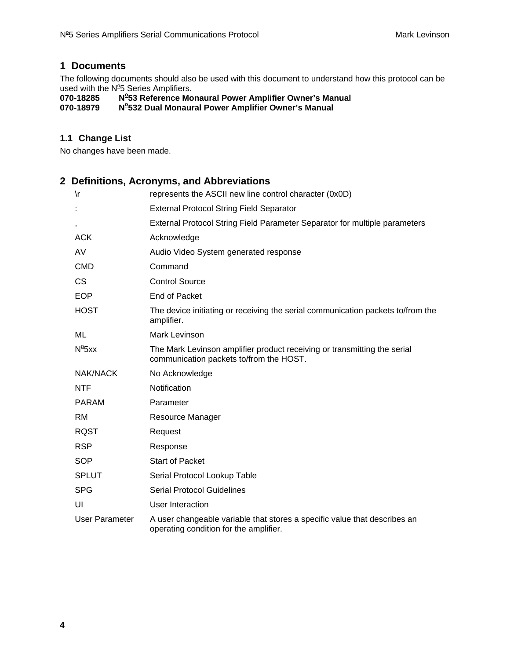#### <span id="page-3-0"></span>**1 Documents**

The following documents should also be used with this document to understand how this protocol can be used with the N<sup>o</sup>5 Series Amplifiers.

**070-18285 No 53 Reference Monaural Power Amplifier Owner's Manual** 

070-18979 **532 Dual Monaural Power Amplifier Owner's Manual** 

#### **1.1 Change List**

No changes have been made.

### **2 Definitions, Acronyms, and Abbreviations**

| $\sqrt{r}$      | represents the ASCII new line control character (0x0D)                                                              |
|-----------------|---------------------------------------------------------------------------------------------------------------------|
| t,              | <b>External Protocol String Field Separator</b>                                                                     |
| $\,$            | External Protocol String Field Parameter Separator for multiple parameters                                          |
| <b>ACK</b>      | Acknowledge                                                                                                         |
| AV              | Audio Video System generated response                                                                               |
| <b>CMD</b>      | Command                                                                                                             |
| <b>CS</b>       | <b>Control Source</b>                                                                                               |
| <b>EOP</b>      | End of Packet                                                                                                       |
| <b>HOST</b>     | The device initiating or receiving the serial communication packets to/from the<br>amplifier.                       |
| ML              | Mark Levinson                                                                                                       |
| $N^{\circ}$ 5xx | The Mark Levinson amplifier product receiving or transmitting the serial<br>communication packets to/from the HOST. |
| NAK/NACK        | No Acknowledge                                                                                                      |
| <b>NTF</b>      | Notification                                                                                                        |
| <b>PARAM</b>    | Parameter                                                                                                           |
| <b>RM</b>       | Resource Manager                                                                                                    |
| <b>RQST</b>     | Request                                                                                                             |
| <b>RSP</b>      | Response                                                                                                            |
| <b>SOP</b>      | <b>Start of Packet</b>                                                                                              |
| <b>SPLUT</b>    | Serial Protocol Lookup Table                                                                                        |
| <b>SPG</b>      | <b>Serial Protocol Guidelines</b>                                                                                   |
| UI              | User Interaction                                                                                                    |
| User Parameter  | A user changeable variable that stores a specific value that describes an<br>operating condition for the amplifier. |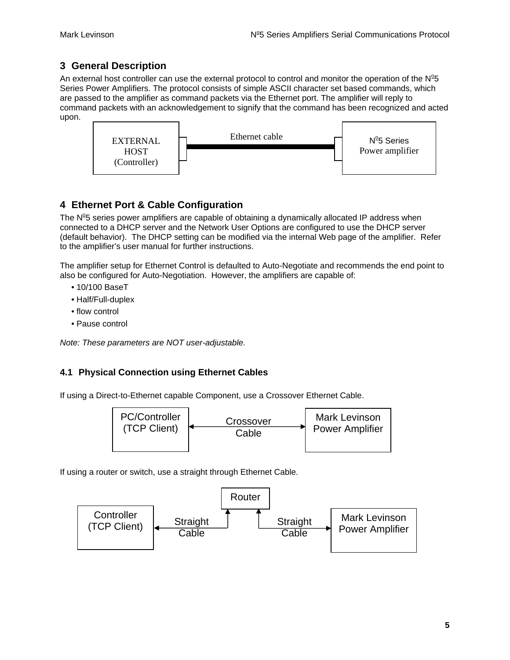# <span id="page-4-0"></span>**3 General Description**

An external host controller can use the external protocol to control and monitor the operation of the  $N^25$ Series Power Amplifiers. The protocol consists of simple ASCII character set based commands, which are passed to the amplifier as command packets via the Ethernet port. The amplifier will reply to command packets with an acknowledgement to signify that the command has been recognized and acted upon.



# **4 Ethernet Port & Cable Configuration**

The  $N^2$ 5 series power amplifiers are capable of obtaining a dynamically allocated IP address when connected to a DHCP server and the Network User Options are configured to use the DHCP server (default behavior). The DHCP setting can be modified via the internal Web page of the amplifier. Refer to the amplifier's user manual for further instructions.

The amplifier setup for Ethernet Control is defaulted to Auto-Negotiate and recommends the end point to also be configured for Auto-Negotiation. However, the amplifiers are capable of:

- 10/100 BaseT
- Half/Full-duplex
- flow control
- Pause control

*Note: These parameters are NOT user-adjustable.* 

#### **4.1 Physical Connection using Ethernet Cables**

If using a Direct-to-Ethernet capable Component, use a Crossover Ethernet Cable.



If using a router or switch, use a straight through Ethernet Cable.

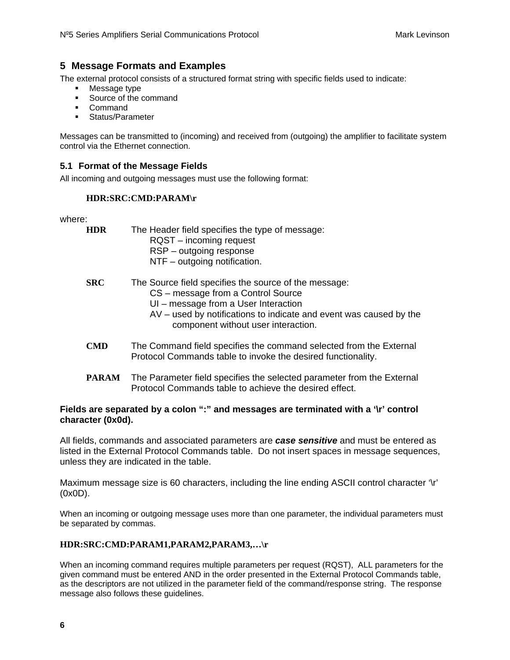#### <span id="page-5-0"></span>**5 Message Formats and Examples**

The external protocol consists of a structured format string with specific fields used to indicate:

- Message type
- Source of the command
- Command
- **Status/Parameter**

Messages can be transmitted to (incoming) and received from (outgoing) the amplifier to facilitate system control via the Ethernet connection.

#### **5.1 Format of the Message Fields**

All incoming and outgoing messages must use the following format:

#### **HDR:SRC:CMD:PARAM\r**

where:

**HDR** The Header field specifies the type of message: RQST – incoming request RSP – outgoing response NTF – outgoing notification.

- **SRC** The Source field specifies the source of the message: CS – message from a Control Source
	- UI message from a User Interaction
	- AV used by notifications to indicate and event was caused by the component without user interaction.
- **CMD** The Command field specifies the command selected from the External Protocol Commands table to invoke the desired functionality.
- **PARAM** The Parameter field specifies the selected parameter from the External Protocol Commands table to achieve the desired effect.

#### **Fields are separated by a colon ":" and messages are terminated with a '\r' control character (0x0d).**

All fields, commands and associated parameters are *case sensitive* and must be entered as listed in the External Protocol Commands table. Do not insert spaces in message sequences, unless they are indicated in the table.

Maximum message size is 60 characters, including the line ending ASCII control character '\r' (0x0D).

When an incoming or outgoing message uses more than one parameter, the individual parameters must be separated by commas.

#### **HDR:SRC:CMD:PARAM1,PARAM2,PARAM3,…\r**

When an incoming command requires multiple parameters per request (RQST), ALL parameters for the given command must be entered AND in the order presented in the External Protocol Commands table, as the descriptors are not utilized in the parameter field of the command/response string. The response message also follows these guidelines.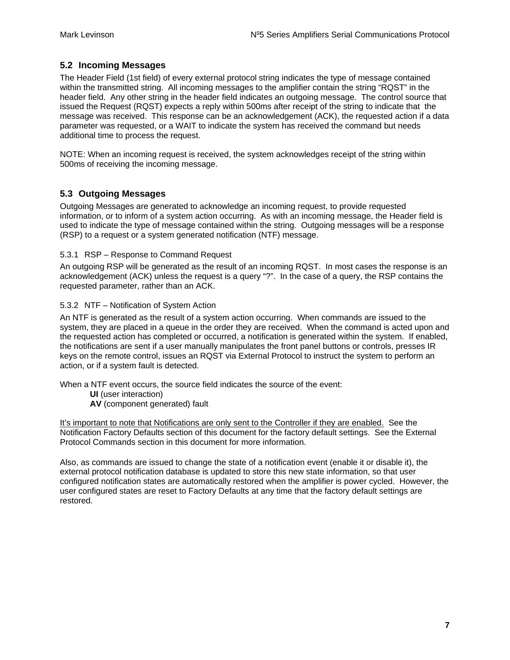#### <span id="page-6-0"></span>**5.2 Incoming Messages**

The Header Field (1st field) of every external protocol string indicates the type of message contained within the transmitted string. All incoming messages to the amplifier contain the string "RQST" in the header field. Any other string in the header field indicates an outgoing message. The control source that issued the Request (RQST) expects a reply within 500ms after receipt of the string to indicate that the message was received. This response can be an acknowledgement (ACK), the requested action if a data parameter was requested, or a WAIT to indicate the system has received the command but needs additional time to process the request.

NOTE: When an incoming request is received, the system acknowledges receipt of the string within 500ms of receiving the incoming message.

#### **5.3 Outgoing Messages**

Outgoing Messages are generated to acknowledge an incoming request, to provide requested information, or to inform of a system action occurring. As with an incoming message, the Header field is used to indicate the type of message contained within the string. Outgoing messages will be a response (RSP) to a request or a system generated notification (NTF) message.

#### 5.3.1 RSP – Response to Command Request

An outgoing RSP will be generated as the result of an incoming RQST. In most cases the response is an acknowledgement (ACK) unless the request is a query "?". In the case of a query, the RSP contains the requested parameter, rather than an ACK.

#### 5.3.2 NTF – Notification of System Action

An NTF is generated as the result of a system action occurring. When commands are issued to the system, they are placed in a queue in the order they are received. When the command is acted upon and the requested action has completed or occurred, a notification is generated within the system. If enabled, the notifications are sent if a user manually manipulates the front panel buttons or controls, presses IR keys on the remote control, issues an RQST via External Protocol to instruct the system to perform an action, or if a system fault is detected.

When a NTF event occurs, the source field indicates the source of the event:

- **UI** (user interaction)
- **AV** (component generated) fault

It's important to note that Notifications are only sent to the Controller if they are enabled. See the Notification Factory Defaults section of this document for the factory default settings. See the External Protocol Commands section in this document for more information.

Also, as commands are issued to change the state of a notification event (enable it or disable it), the external protocol notification database is updated to store this new state information, so that user configured notification states are automatically restored when the amplifier is power cycled. However, the user configured states are reset to Factory Defaults at any time that the factory default settings are restored.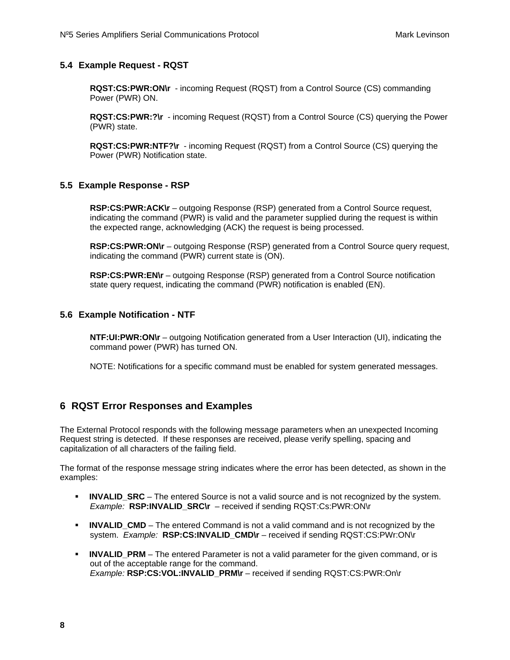#### <span id="page-7-0"></span>**5.4 Example Request - RQST**

**RQST:CS:PWR:ON\r** - incoming Request (RQST) from a Control Source (CS) commanding Power (PWR) ON.

**RQST:CS:PWR:?\r** - incoming Request (RQST) from a Control Source (CS) querying the Power (PWR) state.

**RQST:CS:PWR:NTF?\r** - incoming Request (RQST) from a Control Source (CS) querying the Power (PWR) Notification state.

#### **5.5 Example Response - RSP**

**RSP:CS:PWR:ACK\r** – outgoing Response (RSP) generated from a Control Source request, indicating the command (PWR) is valid and the parameter supplied during the request is within the expected range, acknowledging (ACK) the request is being processed.

**RSP:CS:PWR:ON\r** – outgoing Response (RSP) generated from a Control Source query request, indicating the command (PWR) current state is (ON).

**RSP:CS:PWR:EN\r** – outgoing Response (RSP) generated from a Control Source notification state query request, indicating the command (PWR) notification is enabled (EN).

#### **5.6 Example Notification - NTF**

**NTF:UI:PWR:ON\r** – outgoing Notification generated from a User Interaction (UI), indicating the command power (PWR) has turned ON.

NOTE: Notifications for a specific command must be enabled for system generated messages.

#### **6 RQST Error Responses and Examples**

The External Protocol responds with the following message parameters when an unexpected Incoming Request string is detected. If these responses are received, please verify spelling, spacing and capitalization of all characters of the failing field.

The format of the response message string indicates where the error has been detected, as shown in the examples:

- **INVALID SRC** The entered Source is not a valid source and is not recognized by the system. *Example:* **RSP:INVALID\_SRC\r** – received if sending RQST:Cs:PWR:ON\r
- **INVALID CMD** The entered Command is not a valid command and is not recognized by the system. *Example:* **RSP:CS:INVALID\_CMD\r** – received if sending RQST:CS:PWr:ON\r
- **INVALID PRM** The entered Parameter is not a valid parameter for the given command, or is out of the acceptable range for the command. *Example:* **RSP:CS:VOL:INVALID\_PRM\r** – received if sending RQST:CS:PWR:On\r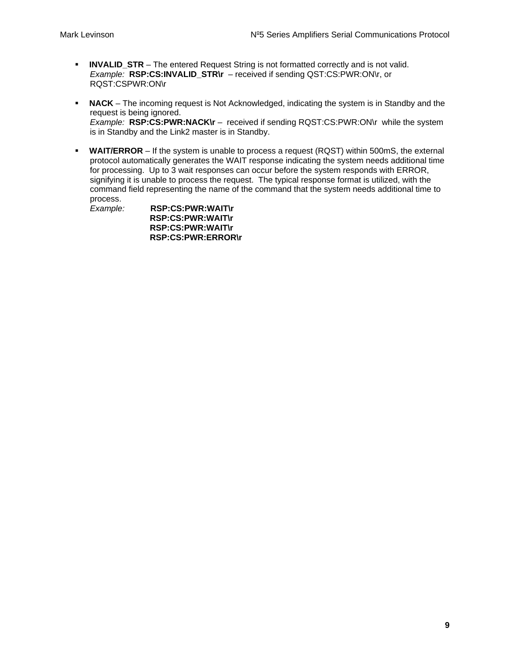- **INVALID\_STR** The entered Request String is not formatted correctly and is not valid. *Example:* **RSP:CS:INVALID\_STR\r** – received if sending QST:CS:PWR:ON\r, or RQST:CSPWR:ON\r
- **NACK** The incoming request is Not Acknowledged, indicating the system is in Standby and the request is being ignored. *Example:* **RSP:CS:PWR:NACK\r** – received if sending RQST:CS:PWR:ON\r while the system is in Standby and the Link2 master is in Standby.
- **WAIT/ERROR** If the system is unable to process a request (RQST) within 500mS, the external protocol automatically generates the WAIT response indicating the system needs additional time for processing. Up to 3 wait responses can occur before the system responds with ERROR, signifying it is unable to process the request. The typical response format is utilized, with the command field representing the name of the command that the system needs additional time to process.

*Example:* **RSP:CS:PWR:WAIT\r RSP:CS:PWR:WAIT\r RSP:CS:PWR:WAIT\r RSP:CS:PWR:ERROR\r**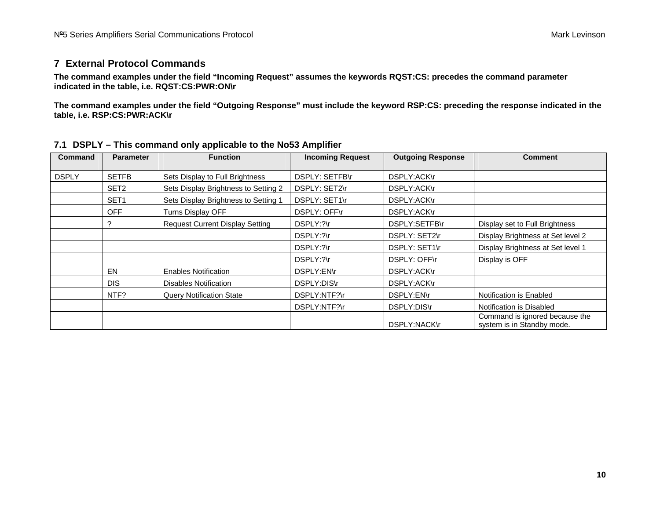#### **7 External Protocol Commands**

**The command examples under the field "Incoming Request" assumes the keywords RQST:CS: precedes the command parameter indicated in the table, i.e. RQST:CS:PWR:ON\r** 

**The command examples under the field "Outgoing Response" must include the keyword RSP:CS: preceding the response indicated in the table, i.e. RSP:CS:PWR:ACK\r** 

<span id="page-9-0"></span>

| <b>Command</b> | <b>Parameter</b> | <b>Function</b>                        | <b>Incoming Request</b> | <b>Outgoing Response</b> | <b>Comment</b>                                               |
|----------------|------------------|----------------------------------------|-------------------------|--------------------------|--------------------------------------------------------------|
| <b>DSPLY</b>   | <b>SETFB</b>     | Sets Display to Full Brightness        | DSPLY: SETFB\r          | DSPLY:ACK\r              |                                                              |
|                | SET <sub>2</sub> | Sets Display Brightness to Setting 2   | DSPLY: SET2\r           | DSPLY:ACK\r              |                                                              |
|                | SET <sub>1</sub> | Sets Display Brightness to Setting 1   | DSPLY: SET1\r           | DSPLY:ACK\r              |                                                              |
|                | <b>OFF</b>       | Turns Display OFF                      | DSPLY: OFF\r            | DSPLY:ACK\r              |                                                              |
|                | 2                | <b>Request Current Display Setting</b> | DSPLY:?\r               | DSPLY:SETFB\r            | Display set to Full Brightness                               |
|                |                  |                                        | DSPLY:?\r               | DSPLY: SET2\r            | Display Brightness at Set level 2                            |
|                |                  |                                        | DSPLY:?\r               | DSPLY: SET1\r            | Display Brightness at Set level 1                            |
|                |                  |                                        | DSPLY:?\r               | DSPLY: OFF\r             | Display is OFF                                               |
|                | EN               | <b>Enables Notification</b>            | DSPLY:EN\r              | DSPLY:ACK\r              |                                                              |
|                | <b>DIS</b>       | <b>Disables Notification</b>           | DSPLY:DIS\r             | DSPLY:ACK\r              |                                                              |
|                | NTF?             | <b>Query Notification State</b>        | DSPLY:NTF?\r            | DSPLY:EN\r               | Notification is Enabled                                      |
|                |                  |                                        | DSPLY:NTF?\r            | DSPLY:DIS\r              | Notification is Disabled                                     |
|                |                  |                                        |                         | DSPLY:NACK\r             | Command is ignored because the<br>system is in Standby mode. |

#### **7.1 DSPLY – This command only applicable to the No53 Amplifier**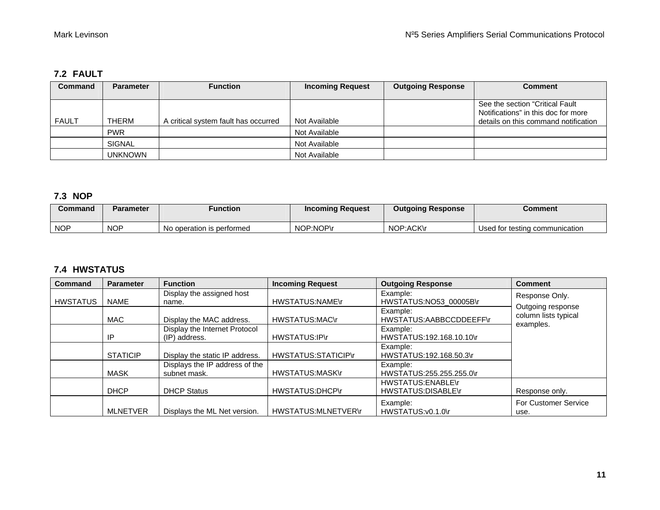#### **7.2 FAULT**

| <b>Command</b> | <b>Parameter</b> | <b>Function</b>                      | <b>Incoming Request</b> | <b>Outgoing Response</b> | Comment                                                                                                        |
|----------------|------------------|--------------------------------------|-------------------------|--------------------------|----------------------------------------------------------------------------------------------------------------|
| <b>FAULT</b>   | <b>THERM</b>     | A critical system fault has occurred | Not Available           |                          | See the section "Critical Fault<br>Notifications" in this doc for more<br>details on this command notification |
|                | <b>PWR</b>       |                                      | Not Available           |                          |                                                                                                                |
|                | <b>SIGNAL</b>    |                                      | Not Available           |                          |                                                                                                                |
|                | <b>UNKNOWN</b>   |                                      | Not Available           |                          |                                                                                                                |

#### **7.3 NOP**

| Command    | Parameter  | Function                  | <b>Incoming Request</b> | <b>Outgoing Response</b> | Comment                        |
|------------|------------|---------------------------|-------------------------|--------------------------|--------------------------------|
| <b>NOP</b> | <b>NOP</b> | No operation is performed | NOP:NOP\r               | NOP:ACK\r                | Used for testing communication |

#### **7.4 HWSTATUS**

<span id="page-10-0"></span>

| Command         | <b>Parameter</b> | <b>Function</b>                | <b>Incoming Request</b>    | <b>Outgoing Response</b>            | <b>Comment</b>                    |
|-----------------|------------------|--------------------------------|----------------------------|-------------------------------------|-----------------------------------|
|                 |                  | Display the assigned host      |                            | Example:                            | Response Only.                    |
| <b>HWSTATUS</b> | NAME             | name.                          | <b>HWSTATUS:NAME\r</b>     | HWSTATUS:NO53 00005B\r              | Outgoing response                 |
|                 | <b>MAC</b>       | Display the MAC address.       | <b>HWSTATUS:MAC\r</b>      | Example:<br>HWSTATUS:AABBCCDDEEFF\r | column lists typical<br>examples. |
|                 |                  | Display the Internet Protocol  |                            | Example:                            |                                   |
|                 | IP               | (IP) address.                  | HWSTATUS:IP\r              | HWSTATUS:192.168.10.10\r            |                                   |
|                 |                  |                                |                            | Example:                            |                                   |
|                 | <b>STATICIP</b>  | Display the static IP address. | HWSTATUS:STATICIP\r        | HWSTATUS:192.168.50.3\r             |                                   |
|                 |                  | Displays the IP address of the |                            | Example:                            |                                   |
|                 | <b>MASK</b>      | subnet mask.                   | HWSTATUS:MASK\r            | HWSTATUS:255.255.255.0\r            |                                   |
|                 |                  |                                |                            | <b>HWSTATUS:ENABLE\r</b>            |                                   |
|                 | <b>DHCP</b>      | <b>DHCP Status</b>             | HWSTATUS:DHCP\r            | HWSTATUS:DISABLE\r                  | Response only.                    |
|                 |                  |                                |                            | Example:                            | <b>For Customer Service</b>       |
|                 | <b>MLNETVER</b>  | Displays the ML Net version.   | <b>HWSTATUS:MLNETVER\r</b> | HWSTATUS:v0.1.0\r                   | use.                              |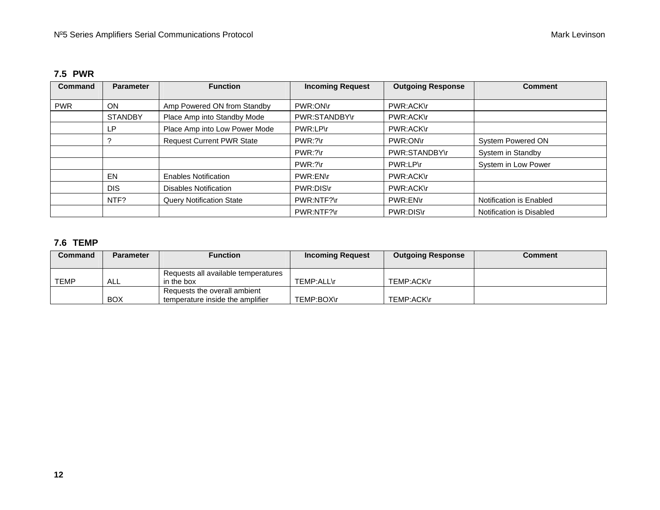#### **7.5 PWR**

| Command    | <b>Parameter</b> | <b>Function</b>                  | <b>Incoming Request</b> | <b>Outgoing Response</b> | <b>Comment</b>           |
|------------|------------------|----------------------------------|-------------------------|--------------------------|--------------------------|
| <b>PWR</b> | OΝ               | Amp Powered ON from Standby      | PWR:ON\r                | PWR:ACK\r                |                          |
|            | <b>STANDBY</b>   | Place Amp into Standby Mode      | PWR:STANDBY\r           | PWR:ACK\r                |                          |
|            | LP.              | Place Amp into Low Power Mode    | PWR:LP\r                | PWR:ACK\r                |                          |
|            |                  | <b>Request Current PWR State</b> | $PWR$ : ?\r             | PWR:ON\r                 | System Powered ON        |
|            |                  |                                  | $PWR$ : ?\r             | PWR:STANDBY\r            | System in Standby        |
|            |                  |                                  | $PWR$ : ?\r             | PWR:LP\r                 | System in Low Power      |
|            | EN               | <b>Enables Notification</b>      | PWR:EN\r                | PWR:ACK\r                |                          |
|            | <b>DIS</b>       | Disables Notification            | PWR:DIS\r               | PWR:ACK\r                |                          |
|            | NTF?             | <b>Query Notification State</b>  | PWR:NTF?\r              | PWR:EN\r                 | Notification is Enabled  |
|            |                  |                                  | PWR:NTF?\r              | PWR:DIS\r                | Notification is Disabled |

#### **7.6 TEMP**

<span id="page-11-0"></span>

| Command     | <b>Parameter</b> | <b>Function</b>                     | <b>Incoming Request</b> | <b>Outgoing Response</b> | Comment |
|-------------|------------------|-------------------------------------|-------------------------|--------------------------|---------|
|             |                  | Requests all available temperatures |                         |                          |         |
| <b>TEMP</b> | ALL              | in the box                          | TEMP:ALL\r              | TEMP:ACK\r               |         |
|             |                  | Requests the overall ambient        |                         |                          |         |
|             | <b>BOX</b>       | temperature inside the amplifier    | TEMP:BOX\r              | TEMP:ACK\r               |         |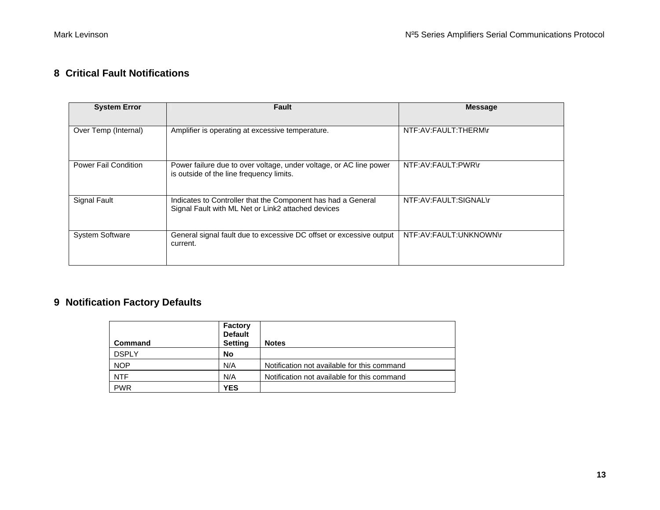#### **8 Critical Fault Notifications**

| <b>System Error</b>    | Fault                                                                                                              | <b>Message</b>         |
|------------------------|--------------------------------------------------------------------------------------------------------------------|------------------------|
| Over Temp (Internal)   | Amplifier is operating at excessive temperature.                                                                   | NTF:AV:FAULT:THERM\r   |
| Power Fail Condition   | Power failure due to over voltage, under voltage, or AC line power<br>is outside of the line frequency limits.     | NTF:AV:FAULT:PWR\r     |
| Signal Fault           | Indicates to Controller that the Component has had a General<br>Signal Fault with ML Net or Link2 attached devices | NTF:AV:FAULT:SIGNAL\r  |
| <b>System Software</b> | General signal fault due to excessive DC offset or excessive output<br>current.                                    | NTF:AV:FAULT:UNKNOWN\r |

# **9 Notification Factory Defaults**

<span id="page-12-0"></span>

| <b>Command</b> | Factory<br><b>Default</b><br><b>Setting</b> | <b>Notes</b>                                |
|----------------|---------------------------------------------|---------------------------------------------|
| <b>DSPLY</b>   | No                                          |                                             |
| <b>NOP</b>     | N/A                                         | Notification not available for this command |
| <b>NTF</b>     | N/A                                         | Notification not available for this command |
| <b>PWR</b>     | <b>YES</b>                                  |                                             |